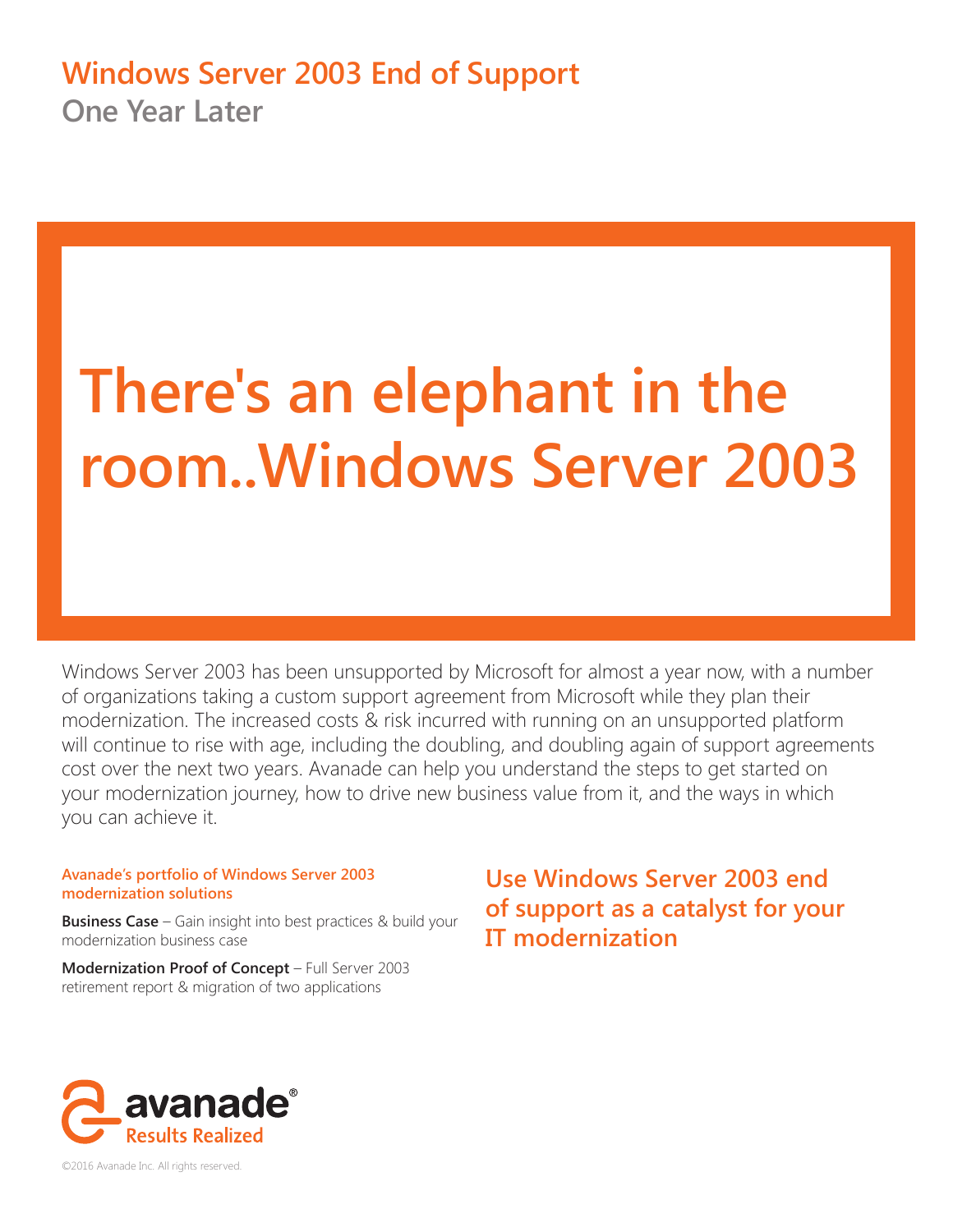# **Windows Server 2003 End of Support One Year Later**

# **There's an elephant in the room..Windows Server 2003**

Windows Server 2003 has been unsupported by Microsoft for almost a year now, with a number of organizations taking a custom support agreement from Microsoft while they plan their modernization. The increased costs & risk incurred with running on an unsupported platform will continue to rise with age, including the doubling, and doubling again of support agreements cost over the next two years. Avanade can help you understand the steps to get started on your modernization journey, how to drive new business value from it, and the ways in which you can achieve it.

# **Avanade's portfolio of Windows Server 2003 modernization solutions**

**Business Case** – Gain insight into best practices & build your modernization business case

**Modernization Proof of Concept** – Full Server 2003 retirement report & migration of two applications

**Use Windows Server 2003 end of support as a catalyst for your IT modernization**



©2016 Avanade Inc. All rights reserved.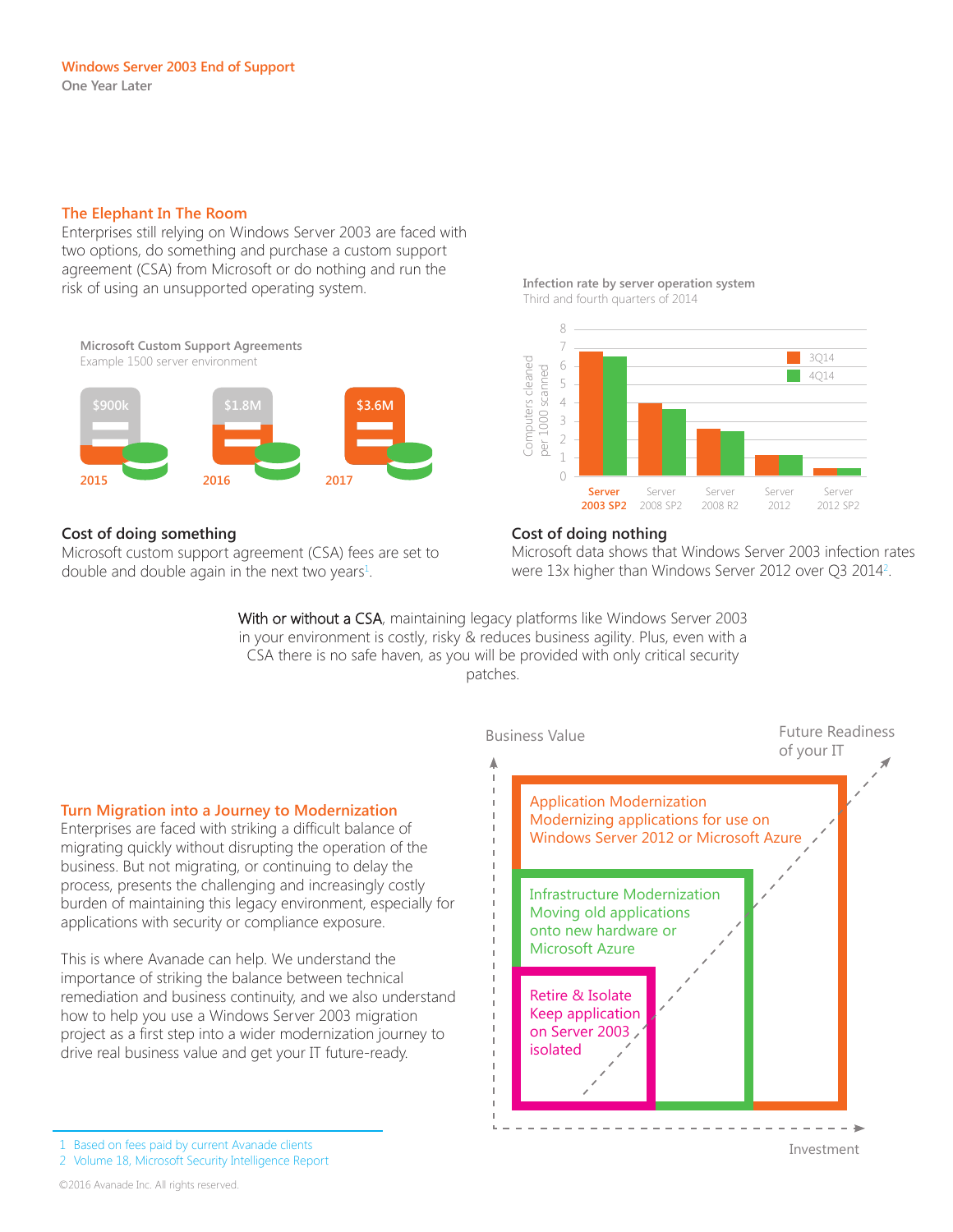# **The Elephant In The Room**

Enterprises still relying on Windows Server 2003 are faced with two options, do something and purchase a custom support agreement (CSA) from Microsoft or do nothing and run the risk of using an unsupported operating system.

**Microsoft Custom Support Agreements** Example 1500 server environment **2015 2016 2017 \$900k \$1.8M \$3.6M**

# **Cost of doing something**

Microsoft custom support agreement (CSA) fees are set to double and double again in the next two years $^1$ .

#### **Infection rate by server operation system** Third and fourth quarters of 2014



#### **Cost of doing nothing**

Microsoft data shows that Windows Server 2003 infection rates were 13x higher than Windows Server 2012 over Q3 2014<sup>2</sup>.

With or without a CSA, maintaining legacy platforms like Windows Server 2003 in your environment is costly, risky & reduces business agility. Plus, even with a CSA there is no safe haven, as you will be provided with only critical security patches.



#### 1 Based on fees paid by current Avanade clients

2 Volume 18, Microsoft Security Intelligence Report

©2016 Avanade Inc. All rights reserved.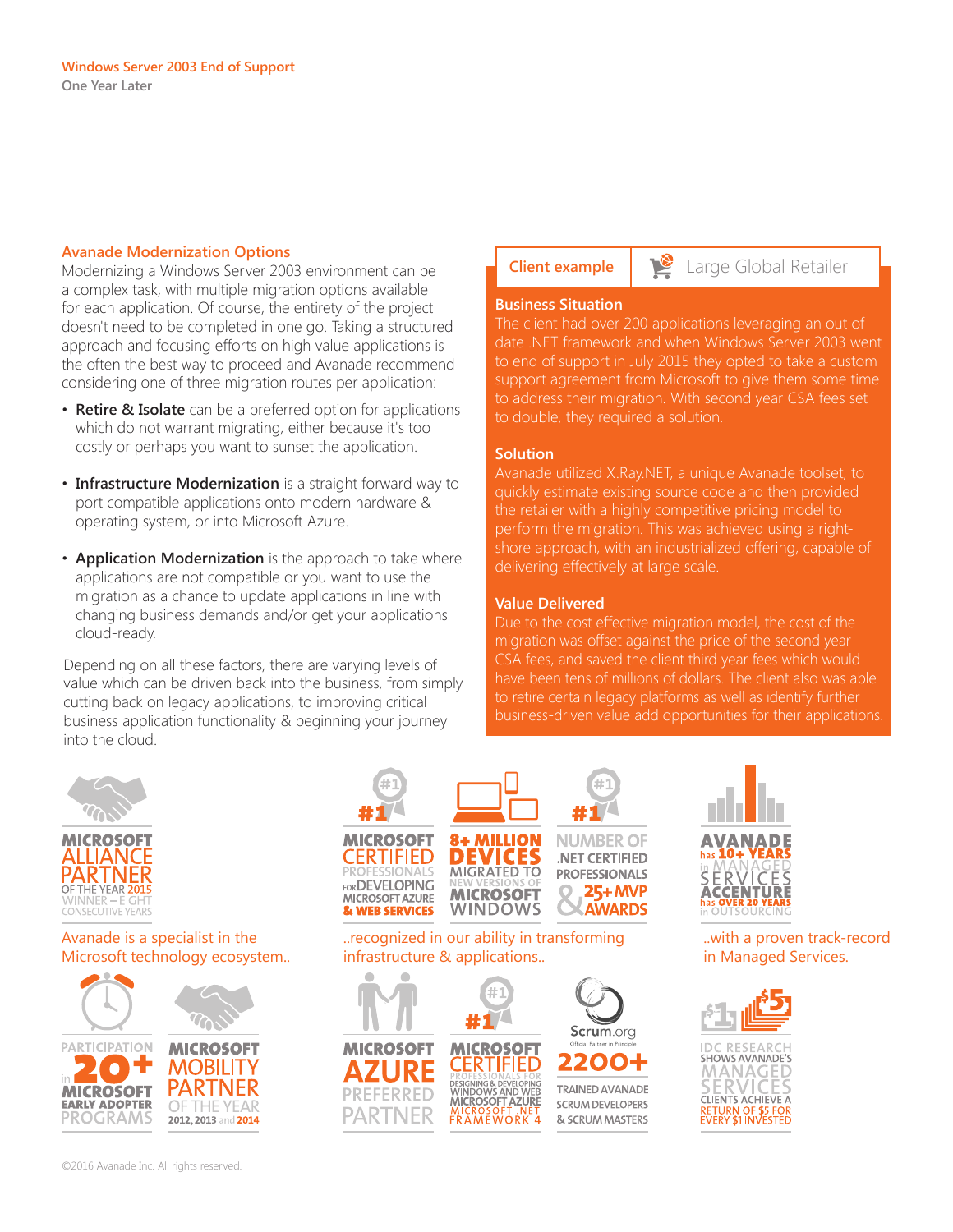#### **Avanade Modernization Options**

Modernizing a Windows Server 2003 environment can be a complex task, with multiple migration options available for each application. Of course, the entirety of the project doesn't need to be completed in one go. Taking a structured approach and focusing efforts on high value applications is the often the best way to proceed and Avanade recommend considering one of three migration routes per application:

- **Retire & Isolate** can be a preferred option for applications which do not warrant migrating, either because it's too costly or perhaps you want to sunset the application.
- **Infrastructure Modernization** is a straight forward way to port compatible applications onto modern hardware & operating system, or into Microsoft Azure.
- **Application Modernization** is the approach to take where applications are not compatible or you want to use the migration as a chance to update applications in line with changing business demands and/or get your applications cloud-ready.

Depending on all these factors, there are varying levels of value which can be driven back into the business, from simply cutting back on legacy applications, to improving critical business application functionality & beginning your journey into the cloud.

**MICROSOFT** 

PARTNER

**FERRED** 

**MICROSOFT** 

**CERTIFIED** 

WINDOWS AND WEB

**FRAMEWORK 4** 

SIGNING

**Client example Large Global Retailer** 

#### **Business Situation**

The client had over 200 applications leveraging an out of date .NET framework and when Windows Server 2003 went to end of support in July 2015 they opted to take a custom support agreement from Microsoft to give them some time to address their migration. With second year CSA fees set to double, they required a solution.

#### **Solution**

Avanade utilized X.Ray.NET, a unique Avanade toolset, to quickly estimate existing source code and then provided the retailer with a highly competitive pricing model to perform the migration. This was achieved using a rightshore approach, with an industrialized offering, capable of delivering effectively at large scale.

#### **Value Delivered**

Due to the cost effective migration model, the cost of the migration was offset against the price of the second year have been tens of millions of dollars. The client also was able to retire certain legacy platforms as well as identify further business-driven value add opportunities for their applications.





# Avanade is a specialist in the Microsoft technology ecosystem..





Scrum.org

2010

**TRAINED AVANADE** 

SCRUM DEVELOPERS

& SCRUM MASTERS